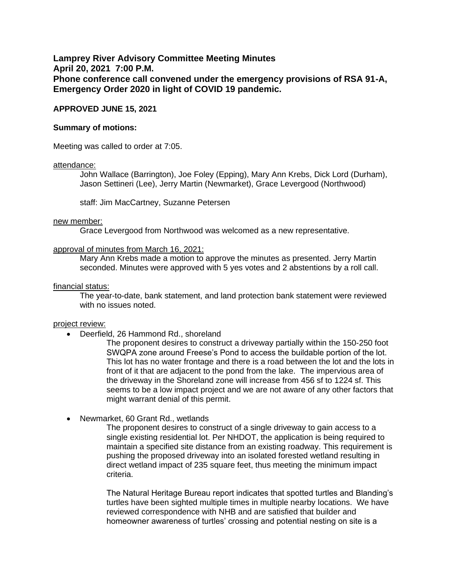**Lamprey River Advisory Committee Meeting Minutes April 20, 2021 7:00 P.M. Phone conference call convened under the emergency provisions of RSA 91-A, Emergency Order 2020 in light of COVID 19 pandemic.** 

# **APPROVED JUNE 15, 2021**

## **Summary of motions:**

Meeting was called to order at 7:05.

#### attendance:

John Wallace (Barrington), Joe Foley (Epping), Mary Ann Krebs, Dick Lord (Durham), Jason Settineri (Lee), Jerry Martin (Newmarket), Grace Levergood (Northwood)

staff: Jim MacCartney, Suzanne Petersen

#### new member:

Grace Levergood from Northwood was welcomed as a new representative.

### approval of minutes from March 16, 2021:

Mary Ann Krebs made a motion to approve the minutes as presented. Jerry Martin seconded. Minutes were approved with 5 yes votes and 2 abstentions by a roll call.

### financial status:

The year-to-date, bank statement, and land protection bank statement were reviewed with no issues noted.

#### project review:

• Deerfield, 26 Hammond Rd., shoreland

The proponent desires to construct a driveway partially within the 150-250 foot SWQPA zone around Freese's Pond to access the buildable portion of the lot. This lot has no water frontage and there is a road between the lot and the lots in front of it that are adjacent to the pond from the lake. The impervious area of the driveway in the Shoreland zone will increase from 456 sf to 1224 sf. This seems to be a low impact project and we are not aware of any other factors that might warrant denial of this permit.

• Newmarket, 60 Grant Rd., wetlands

The proponent desires to construct of a single driveway to gain access to a single existing residential lot. Per NHDOT, the application is being required to maintain a specified site distance from an existing roadway. This requirement is pushing the proposed driveway into an isolated forested wetland resulting in direct wetland impact of 235 square feet, thus meeting the minimum impact criteria.

The Natural Heritage Bureau report indicates that spotted turtles and Blanding's turtles have been sighted multiple times in multiple nearby locations. We have reviewed correspondence with NHB and are satisfied that builder and homeowner awareness of turtles' crossing and potential nesting on site is a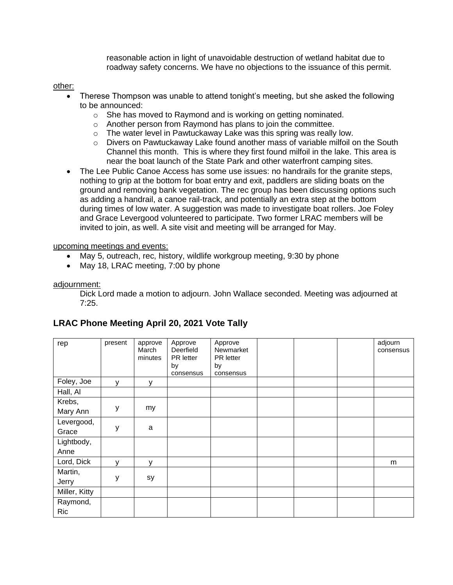reasonable action in light of unavoidable destruction of wetland habitat due to roadway safety concerns. We have no objections to the issuance of this permit.

other:

- Therese Thompson was unable to attend tonight's meeting, but she asked the following to be announced:
	- o She has moved to Raymond and is working on getting nominated.
	- o Another person from Raymond has plans to join the committee.
	- o The water level in Pawtuckaway Lake was this spring was really low.
	- $\circ$  Divers on Pawtuckaway Lake found another mass of variable milfoil on the South Channel this month. This is where they first found milfoil in the lake. This area is near the boat launch of the State Park and other waterfront camping sites.
- The Lee Public Canoe Access has some use issues: no handrails for the granite steps, nothing to grip at the bottom for boat entry and exit, paddlers are sliding boats on the ground and removing bank vegetation. The rec group has been discussing options such as adding a handrail, a canoe rail-track, and potentially an extra step at the bottom during times of low water. A suggestion was made to investigate boat rollers. Joe Foley and Grace Levergood volunteered to participate. Two former LRAC members will be invited to join, as well. A site visit and meeting will be arranged for May.

upcoming meetings and events:

- May 5, outreach, rec, history, wildlife workgroup meeting, 9:30 by phone
- May 18, LRAC meeting, 7:00 by phone

# adjournment:

Dick Lord made a motion to adjourn. John Wallace seconded. Meeting was adjourned at 7:25.

| rep                    | present | approve<br>March<br>minutes | Approve<br>Deerfield<br>PR letter<br>by<br>consensus | Approve<br>Newmarket<br>PR letter<br>by<br>consensus |  | adjourn<br>consensus |
|------------------------|---------|-----------------------------|------------------------------------------------------|------------------------------------------------------|--|----------------------|
| Foley, Joe             | V       | у                           |                                                      |                                                      |  |                      |
| Hall, Al               |         |                             |                                                      |                                                      |  |                      |
| Krebs,<br>Mary Ann     | у       | my                          |                                                      |                                                      |  |                      |
| Levergood,<br>Grace    | у       | a                           |                                                      |                                                      |  |                      |
| Lightbody,<br>Anne     |         |                             |                                                      |                                                      |  |                      |
| Lord, Dick             | v       | y                           |                                                      |                                                      |  | m                    |
| Martin,<br>Jerry       | У       | sy                          |                                                      |                                                      |  |                      |
| Miller, Kitty          |         |                             |                                                      |                                                      |  |                      |
| Raymond,<br><b>Ric</b> |         |                             |                                                      |                                                      |  |                      |

# **LRAC Phone Meeting April 20, 2021 Vote Tally**